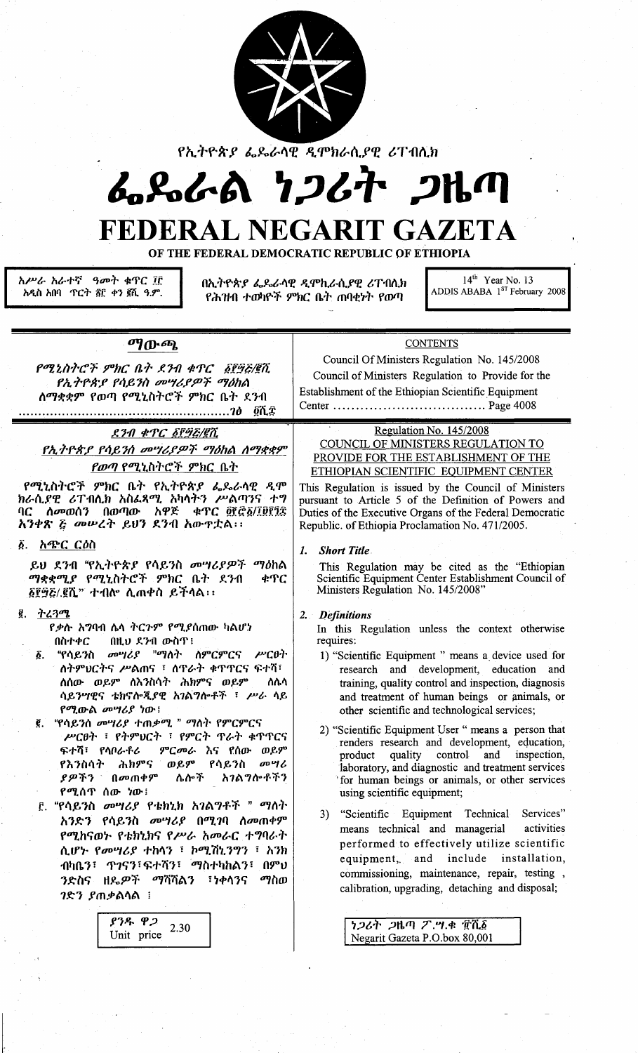

የኢትዮጵያ ፌዴራሳዊ ዲሞክራሲያዊ ሪፐብሲክ

# んぺんる フンムオ フルク FEDERAL NEGARIT GAZETA

OF THE FEDERAL DEMOCRATIC REPUBLIC OF ETHIOPIA

አሥራ አራተኛ ዓመት ቁጥር ፲፫ አዲስ አበባ ጥርት ፳፫ ቀን ፪ሺ ዓ.ም. በኢትዮጵያ ፌዶራላዊ ዲሞኪራሲያዊ ሪፐብሲክ የሕዝብ ተወካዮች ምክር ቤት ጠባቂነት የወጣ

 $14<sup>th</sup>$  Year No. 13 ADDIS ABABA 1<sup>st</sup> February 2008

ማውጫ

የሚኒስትሮች ምክር ቤት ደንብ ቁጥር δየ፵፭/፪ሺ የኢትዮጵያ የሳይንስ መሣሪያዎች ማዕከል ለማቋቋም የወጣ የሚኒስትሮች ምክር ቤት ደንብ 

#### ደንብ ቁጥር ፩፻፵፭/፪ሺ

የኢትዮጵያ የሳይንስ መሣሪያዎች ማዕከል ሰማቋቋም *የወጣ* የሚኒስትሮች ምክር ቤት

. የሚኒስትሮች ምክር ቤት የኢትዮጵያ ፌዴራሳዊ ዲሞ<br>ክራሲያዊ ሪፐብሲክ አስፌጻሚ አካሳትን ሥልጣንና ተግ<br>ባር ሰመወሰን በወጣው አዋጅ ቀፕር ፬፻፸፩/፲፱፻፺፰ አንቀጽ ፩ መሥረት ይህን ደንብ አውዋቷል፡፡

#### ፩. አ**ጭር** ርዕስ

ይህ ደንብ "የኢትዮጵያ የሳይንስ መሣሪያዎች ማዕከል ማቋቋሚያ የሚኒስትሮች ምክር ቤት ደንብ ቁጥር ፩፻፵፭/.፪ሺ" ተብሎ ሊጠቀስ ይችሳል፡፡

#### g. <u>ትረጓሜ</u>

*የቃ*ሱ አ**ግባብ ሌላ ትር**ጉም የሚያሰጠው ካልሆነ በዚህ ደንብ ውስጥ! በስተቀር

- መሣሪያ "ማለት ስምርምርና ሥርፀት  $\bm{\delta}$  . "የሳይንስ ስትምህርትና ሥልጠና ፣ ስጥራት ቁጥጥርና ፍተሻ፣ **ለሰው ወይም ለእንስሳት ሕክምና ወይም** ስሲሳ ሳይንሣዊና ቴክኖሎጂያዊ አገልግሎቶች ፣ ሥራ ላይ የሚውል መሣሪያ ነው!
- "የሳይንስ መሣሪያ ተጠቃሚ " ማስት የምርምርና ሥርፀት ፣ የትምህርት ፣ የምርት ጥራት ቁጥጥርና ምርመራ እና የሰው ወይም ፍተሻ፣ የሳቦራቶሪ የእንስሳት ሕክምና ወይም የሳይንስ *መግሪ* ያዎችን በመጠቀም ሴሎች አገልግሎቶችን የሚሰጥ ሰው ነው፥
- ፫. "የሳይንስ *መሣሪያ የቴክኒክ አገ*ልግቶች " *ማ*ስት አንድን የሳይንስ መሣሪያ በሚገባ ስመጠቀም የሚከናወኮ የቴክኒክና የሥራ አመራር ተግባራት ሲሆኑ የመሣሪያ ተከሳን ፣ ኮሚሽኒንግን ፣ አንክ ብካቤን፣ ጥገናን፣ፍተሻን፣ ማስተካከልን፣ በምህ ንድስና ዘዴዎች ማሻሻልን ፣ነቀሳንና ማስወ *ገ*ድን ያጠቃልሳል ፡

 $93R$   $92$ 2.30 Unit price

Council Of Ministers Regulation No. 145/2008 Council of Ministers Regulation to Provide for the Establishment of the Ethiopian Scientific Equipment 

**CONTENTS** 

### Regulation No. 145/2008

COUNCIL OF MINISTERS REGULATION TO PROVIDE FOR THE ESTABLISHMENT OF THE ETHIOPIAN SCIENTIFIC EQUIPMENT CENTER

This Regulation is issued by the Council of Ministers pursuant to Article 5 of the Definition of Powers and Duties of the Executive Organs of the Federal Democratic Republic. of Ethiopia Proclamation No. 471/2005.

#### **Short Title**  $\mathbf{I}$ .

This Regulation may be cited as the "Ethiopian Scientific Equipment Center Establishment Council of Ministers Regulation No. 145/2008"

#### 2. Definitions

In this Regulation unless the context otherwise requires:

- 1) "Scientific Equipment " means a device used for research and development, education and training, quality control and inspection, diagnosis and treatment of human beings or animals, or other scientific and technological services;
- 2) "Scientific Equipment User " means a person that renders research and development, education, product quality control and inspection. laboratory, and diagnostic and treatment services for human beings or animals, or other services using scientific equipment;
- 3) "Scientific Equipment Technical Services" means technical and managerial activities performed to effectively utilize scientific equipment, and include installation, commissioning, maintenance, repair, testing, calibration, upgrading, detaching and disposal;

*ነጋሪት ጋ*ዜጣ ፖ.ሣ.ቁ ፹ሺ፩ Negarit Gazeta P.O.box 80,001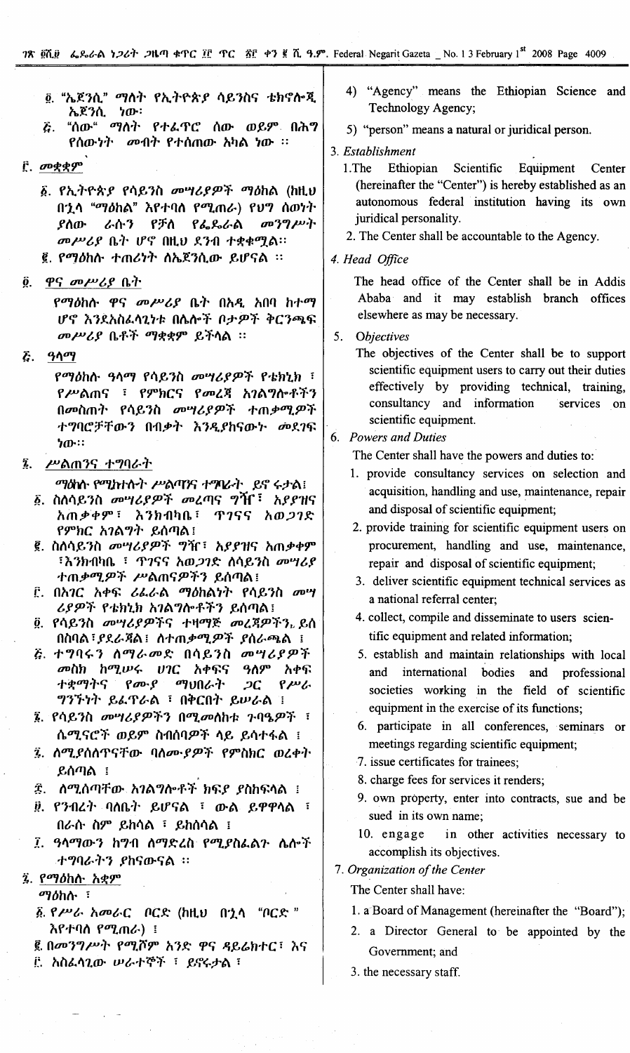- <sup>6</sup> "ኤጀንሲ" ማለት የኢትዮጵያ ሳይንስና ቴክኖሎጂ ኤጀንሲ ነው።
- "ሰው" ማለት የተፌኖሮ ሰው ወይም በሕግ  $\bar{c}$  . የሰውነት መብት የተሰጠው አካል ነው ፡፡
- $\hat{r}$ ,  $\sigma$ ogg $\varphi$ 
	- ፩. የኢትዮጵያ የሳይንስ መሣሪያዎች ማዕከል (ከዚህ በኂሳ "ማዕከል" እየተባሰ የሚጠራ) የህግ ሰወነት መንግሥት ያስው ራሱን የቻለ የፌዴራል መሥሪያ ቤት ሆኖ በዚህ ደንብ ተቋቁሟል። ፪. የማዕከሱ ተጠሪነት ስኤጀንሲው ይሆናል ፡፡
- <u>ዋና መሥሪያ ቤት</u>  $\ddot{\mathbf{0}}$ .

የማዕከሱ ዋና መሥሪያ ቤት በአዲ አበባ ከተማ ሆኖ እንደአስፌሳጊነቱ በሴሎች ቦታዎች ቅርንጫፍ መሥሪያ ቤቶች ማቋቋም ይችላል ፡፡

**&** ዓላማ

*የማዕ*ከሱ ዓላማ የሳይንስ *መግሪያዎች* የቴክኒክ ፣ የሥልጠና ፣ የምክርና የመረጃ አገልግሎቶችን በመስጠት የሳይንስ መሣሪያዎች ተጠቃሚዎች ተግባሮቻቸውን በብቃት እንዲያከናውኑ መደገፍ  $70$ 

- ሥልጠንና ተግባራት  $\ddot{\mathbf{z}}$ .
	- ማልነሱ የሚከተሱት ሥልጣንና ተማሪት ይኖ ሩታል!
	- ፩. ስለሳይንስ *መግሪያዎች መረ*ጣና ግዥ<sup>፣</sup> አ*ያያዝ*ና አጠቃቀም፣ እንክብካቤ፣ ዋገናና አወ*ጋገ*ድ የምክር አገልግት ይሰጣል፤
	- ፪. ስለሳይንስ መሣሪያዎች ግዥ፣ አያያዝና አጠቃቀም ፣እንክብካቤ ፣ ጥገናና አወ*ጋገ*ድ ለሳይንስ መሣሪያ ተጠቃሚዎች ሥልጠናዎችን ይሰጣል፤
	- ፫. በአገር አቀፍ ሪፌራል ማዕከልነት የሳይንስ *መ*ሣ ሪያዎች የቴክኒክ አገልግሎቶችን ይሰጣል፤
	- ፬. የሳይንስ መሣሪያዎችና ተዛማጅ መረጃዎችን ይሰ በስባል፣ያደራጃል፤ ስተጠቃሚዎች ያሰራጫል ፤
	- ጅ. ተግባሩን ስማራመድ በሳይንስ መሣሪያዎች መስክ ከሚሠሩ ሀገር አቀፍና ዓስም አቀፍ ተቋማትና  $\rho_{\boldsymbol{\sigma}}$ \_ማህበራት  $2C$  $P^{\mu\nu}$ ግንኙነት ይፌኖራል ፣ በቅርበት ይሥራል ፣
	- ፮. የሳይንስ መሣሪያዎችን በሚመስከቱ ጉባዔዎች ፣ ሴሚናሮች ወይም ስብሰባዎች ሳይ ይሳተፋል ፤
	- ፯. ስሚያሰስጥናቸው ባሰሙያዎች የምስክር ወረቀት ይሰጣል $\pm$
	- ጄ. ለሚሰጣቸው አ*ገ*ልግሎቶች ክፍ*ያ ያ*ስከፍላል ፤
	- ፱. የንብረት ባለቤት ይሆናል ፣ ውል ይዋዋላል ፣ በራሱ ስም ይከሳል ፣ ይከሰሳል ፤
	- ፲. ዓላማውን ከግብ ለማድረስ የሚያስፌልጉ ሴሎች ተግባራትን ያከናውናል ፡፡
- ፯. የማዕከስ አቋም

ማ*ስት ፣* 

- ፩ የሥራ አመራር ቦርድ (ከዚህ በኋላ "ቦርድ " እየተባሰ የሚጠራ) ፤
- ፪ በመንግሥት የሚሾም አንድ ዋና ዳይሬክተር፣ እና
- E. አስፌሳጊው ሠራተኞች ፣ ይኖሩታል ፣
- 4) "Agency" means the Ethiopian Science and Technology Agency;
- 5) "person" means a natural or juridical person.
- 3. Establishment
	- $1.$ The Ethiopian Scientific Equipment Center (hereinafter the "Center") is hereby established as an autonomous federal institution having its own juridical personality.
	- 2. The Center shall be accountable to the Agency.
- 4. Head Office

The head office of the Center shall be in Addis Ababa and it may establish branch offices elsewhere as may be necessary.

5. **Objectives** 

> The objectives of the Center shall be to support scientific equipment users to carry out their duties effectively by providing technical, training, consultancy and information services on scientific equipment.

#### 6. Powers and Duties

The Center shall have the powers and duties to:

- 1. provide consultancy services on selection and acquisition, handling and use, maintenance, repair and disposal of scientific equipment;
- 2. provide training for scientific equipment users on procurement, handling and use, maintenance, repair and disposal of scientific equipment;
- 3. deliver scientific equipment technical services as a national referral center;
- 4. collect, compile and disseminate to users scientific equipment and related information;
- 5. establish and maintain relationships with local international bodies and professional and societies working in the field of scientific equipment in the exercise of its functions;
- 6. participate in all conferences, seminars or meetings regarding scientific equipment;
- 7. issue certificates for trainees;
- 8. charge fees for services it renders;
- 9. own property, enter into contracts, sue and be sued in its own name;
- in other activities necessary to 10. engage accomplish its objectives.

7. Organization of the Center

The Center shall have:

- 1. a Board of Management (hereinafter the "Board");
- 2. a Director General to be appointed by the Government; and
- 3. the necessary staff.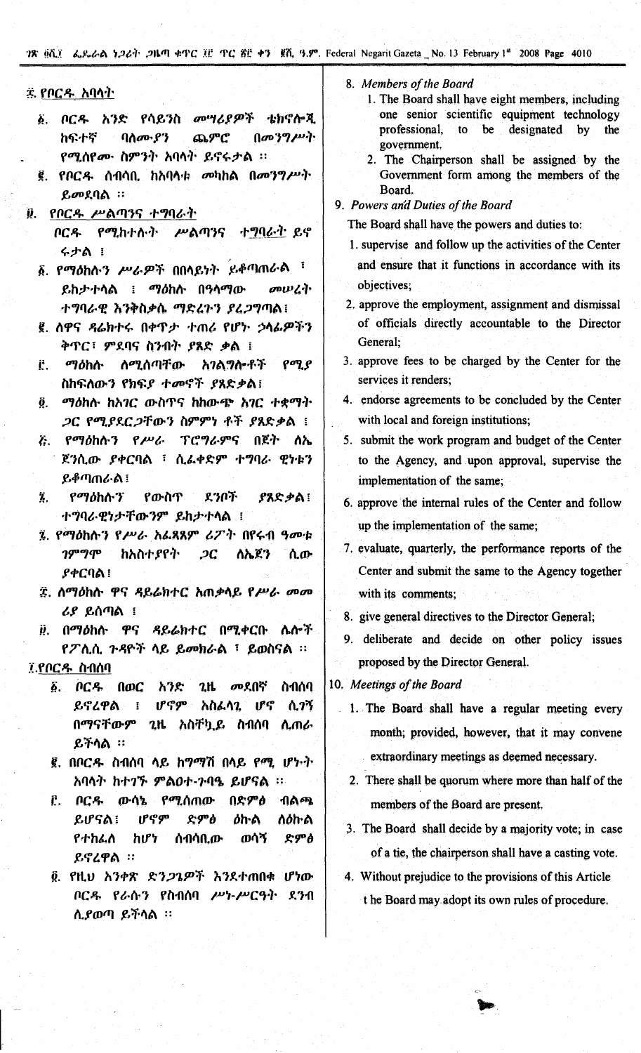78 golf 6.8.6 b 24 PM 4TC II TC 81 + 9 golf 9.9 Federal Negarit Gazeta No. 13 February 1st 2008 Page 4010

#### ጁ የቦርዱ <u>አባላት</u>

- ፩. ቦርዱ አንድ የሳይንስ *መግሪያዎች* ቴክኖሎጂ ከፍተኛ ባለሙያን ጨምሮ  $(100^{\circ})^{\prime\prime}$ የሚሰየሙ ስምንት አባላት ይኖሩታል ፡፡
- ፪. የቦር*ዱ* ሰብሳቢ ከአባላቱ መካከል በመንግሥት ይመደባል:
- Q. የቦርዱ ሥልጣንና ተግባራት
	- ቦርዱ የሚከተሉት ሥልጣንና ተግባራት-ይኖ **そかぬ !**
	- ፩. የማዕከሱ*ን ሥራዎች* በበላይነት ይቆጣጠራል ፣ ይከታተሳል ፤ ማዕከሱ በዓሳማው *cowLive* ተግባራዊ እንቅስቃሴ ማድረጉን ያረጋግጣል፤
	- ፪. ሰዋና ዳሬክተሩ በቀጥታ ተጠሪ የሆኮ ኃላፊዎችን ቅጥር፣ ምደባና ስንብት ያጸድ ቃል ፣
	- ማዕከሉ <u>ለሚሰጣቸው</u> <u>አገልግሎቶች</u>  $\rho$ <sub>a</sub> $\rho$ Ë. ስከፍለውን የክፍያ ተመኖች ያጸድቃል፤
	- ፬. ማዕከሉ ከአገር ውስጥና ከከውጭ አገር ተቋማት ጋር የሚያደርጋቸውን ስምምነ ቶች ያጸድቃል !
	- ـ *የማዕ*ከሱ*ን የሥራ ፕሮግራምና* በጀት ሰኤ Ë. ጀንሲው ያቀርባል ፣ ሲፌቀድም ተግባራ ዊነቱን ይቆጣጠራል፤
	- Ï.,  $P$ <sup> $q$ </sup> $d$  $h$  $h$  $f$ የውስጥ ደንቦች ያጸድቃል! ተግባራዊነታቸውንም ይከታተሳል ፤
	- ፯. የማዕከሱን የሥራ አፌጻጸም ሪፖት በየሩብ ዓመቱ  $19°$ ከአስተያየት  $2C$ ለኤጀን ሲው **ያቀርባል** ፧
	- ፰. ስማዕከሱ ዋና ዳይሬክተር አጠቃላይ የሥራ መመ ሪያ ይሰጣል ፤

<u>፱. በማዕከሉ ዋና ዳይሬክተር በሚቀርቡ ሌሎች</u> የፖሊሲ ጉዳዮች ላይ ይመክራል ፣ ይወስናል ፡፡

### ፲.የቦርዱ ስብሰባ

- <u>δ. ቦርዱ </u>  $2<sub>th</sub>$ \_*መ*ደበኛ ስብሰባ **በወር** አንድ ይኖረዋል ሆኖም አስፌላጊ ሆኖ ሲገኝ  $\overline{\underline{\mathbf{S}}}$ በማናቸውም 2ዜ አስቸኳይ ስብሰባ ሲጠራ ይችላል ፡፡
- ፪. በቦርዱ ስብሰባ ላይ ከማማሽ በላይ የሚ ሆኑት <u>አባሳት ከተገኙ ምልዐተ-ንባዔ ይሆናል ፡፡</u>
- Ê. በርዱ ውሳኔ የሚሰጠው በድምፅ ብልጫ ይሆናል! ሆኖም ድምፅ ስዕኩል ዕከ ል የተከፌለ ከሆነ ሰብሳቢው ወሳኝ ድምፅ ይኖረዋል ።
- ፬. የዚህ አንቀጽ ድን*ጋጌ*ዎች እንደተጠበቁ ሆነው ቦርዱ የራሱን የስብሰባ ሥነ-ሥርዓት ደንብ ሲያወጣ ይችላል ፡፡
- 8. Members of the Board
	- 1. The Board shall have eight members, including one senior scientific equipment technology be designated professional, to  $$ the government.
	- 2. The Chairperson shall be assigned by the Government form among the members of the Board.
- 9. Powers and Duties of the Board
	- The Board shall have the powers and duties to:
	- 1. supervise and follow up the activities of the Center and ensure that it functions in accordance with its objectives;
	- 2. approve the employment, assignment and dismissal of officials directly accountable to the Director General:
	- 3. approve fees to be charged by the Center for the services it renders;
	- 4. endorse agreements to be concluded by the Center with local and foreign institutions;
	- 5. submit the work program and budget of the Center to the Agency, and upon approval, supervise the implementation of the same;
	- 6. approve the internal rules of the Center and follow up the implementation of the same;
	- 7. evaluate, quarterly, the performance reports of the Center and submit the same to the Agency together with its comments:
	- 8. give general directives to the Director General;
	- 9. deliberate and decide on other policy issues proposed by the Director General.

10. Meetings of the Board

- 1. The Board shall have a regular meeting every month; provided, however, that it may convene extraordinary meetings as deemed necessary.
- 2. There shall be quorum where more than half of the members of the Board are present.
- 3. The Board shall decide by a majority vote; in case of a tie, the chairperson shall have a casting vote.
- 4. Without prejudice to the provisions of this Article t he Board may adopt its own rules of procedure.